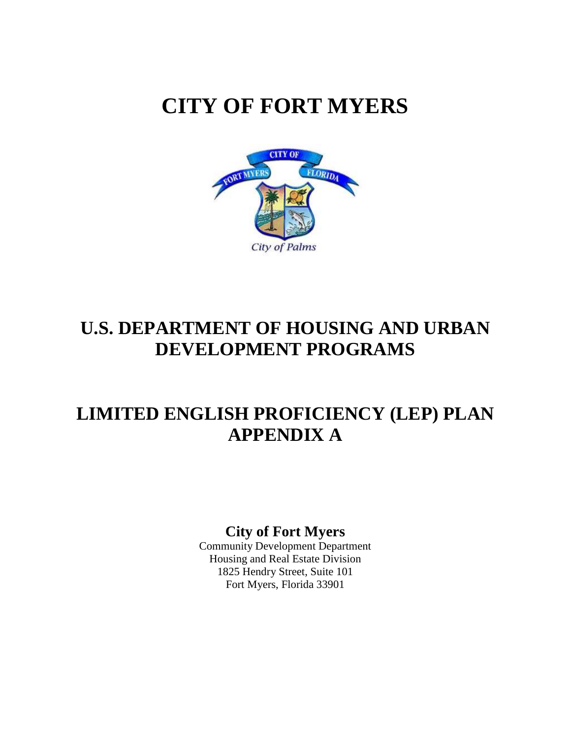# **CITY OF FORT MYERS**



## **U.S. DEPARTMENT OF HOUSING AND URBAN DEVELOPMENT PROGRAMS**

### **LIMITED ENGLISH PROFICIENCY (LEP) PLAN APPENDIX A**

### **City of Fort Myers**

 Housing and Real Estate Division 1825 Hendry Street, Suite 101 Fort Myers, Florida 33901 Community Development Department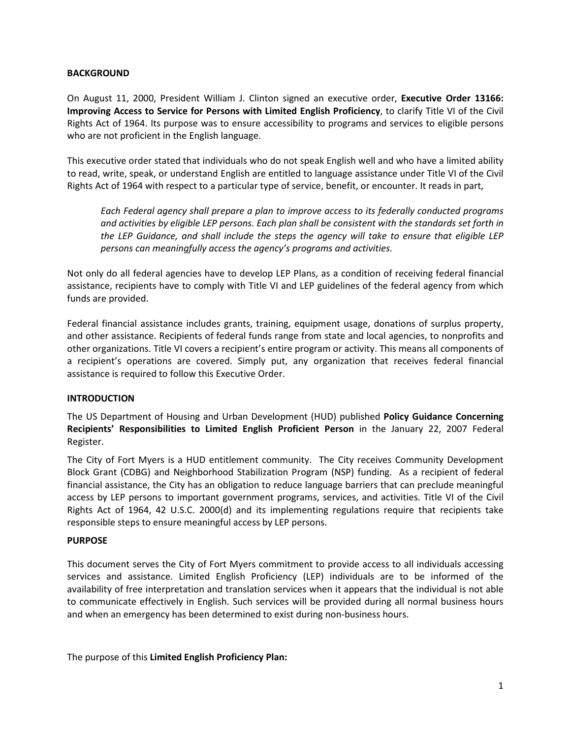#### **BACKGROUND**

On August 11, 2000, President William J. Clinton signed an executive order, Executive Order 13166:  **Improving Access to Service for Persons with Limited English Proficiency**, to clarify Title VI of the Civil Rights Act of 1964. Its purpose was to ensure accessibility to programs and services to eligible persons who are not proficient in the English language.

This executive order stated that individuals who do not speak English well and who have a limited ability to read, write, speak, or understand English are entitled to language assistance under Title VI of the Civil Rights Act of 1964 with respect to a particular type of service, benefit, or encounter. It reads in part,

Each Federal agency shall prepare a plan to improve access to its federally conducted programs and activities by eligible LEP persons. Each plan shall be consistent with the standards set forth in the LEP Guidance, and shall include the steps the agency will take to ensure that eligible LEP persons can meaningfully access the agency's programs and activities.

Not only do all federal agencies have to develop LEP Plans, as a condition of receiving federal financial assistance, recipients have to comply with Title VI and LEP guidelines of the federal agency from which funds are provided.

Federal financial assistance includes grants, training, equipment usage, donations of surplus property, and other assistance. Recipients of federal funds range from state and local agencies, to nonprofits and other organizations. Title VI covers a recipient's entire program or activity. This means all components of a recipient's operations are covered. Simply put, any organization that receives federal financial assistance is required to follow this Executive Order.

#### **INTRODUCTION**

The US Department of Housing and Urban Development (HUD) published Policy Guidance Concerning Recipients' Responsibilities to Limited English Proficient Person in the January 22, 2007 Federal Register.

 The City of Fort Myers is a HUD entitlement community. The City receives Community Development Block Grant (CDBG) and Neighborhood Stabilization Program (NSP) funding. As a recipient of federal financial assistance, the City has an obligation to reduce language barriers that can preclude meaningful access by LEP persons to important government programs, services, and activities. Title VI of the Civil Rights Act of 1964, 42 U.S.C. 2000(d) and its implementing regulations require that recipients take responsible steps to ensure meaningful access by LEP persons.

#### **PURPOSE**

This document serves the City of Fort Myers commitment to provide access to all individuals accessing services and assistance. Limited English Proficiency (LEP) individuals are to be informed of the availability of free interpretation and translation services when it appears that the individual is not able to communicate effectively in English. Such services will be provided during all normal business hours and when an emergency has been determined to exist during non-business hours.

The purpose of this **Limited English Proficiency Plan:**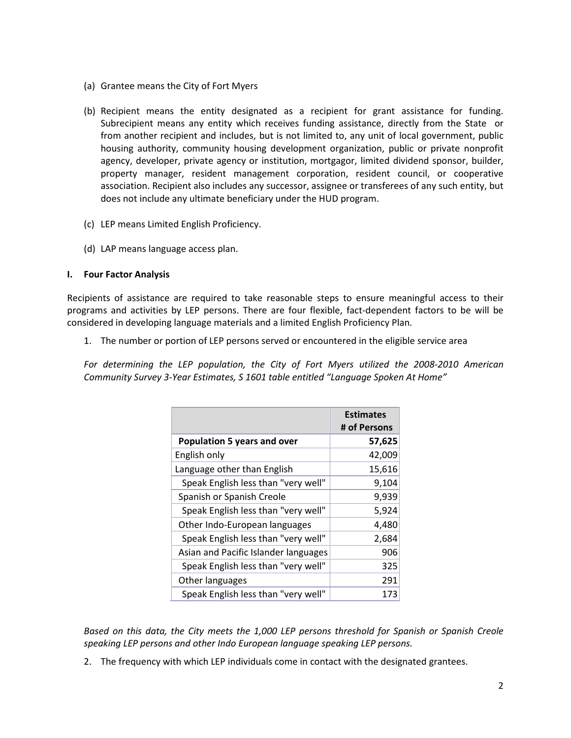- (a) Grantee means the City of Fort Myers
- (b) Recipient means the entity designated as a recipient for grant assistance for funding. Subrecipient means any entity which receives funding assistance, directly from the State or from another recipient and includes, but is not limited to, any unit of local government, public housing authority, community housing development organization, public or private nonprofit agency, developer, private agency or institution, mortgagor, limited dividend sponsor, builder, property manager, resident management corporation, resident council, or cooperative association. Recipient also includes any successor, assignee or transferees of any such entity, but does not include any ultimate beneficiary under the HUD program.
- (c) LEP means Limited English Proficiency.
- (d) LAP means language access plan.

#### **I. Four Factor Analysis**

Recipients of assistance are required to take reasonable steps to ensure meaningful access to their programs and activities by LEP persons. There are four flexible, fact-dependent factors to be will be considered in developing language materials and a limited English Proficiency Plan.

1. The number or portion of LEP persons served or encountered in the eligible service area

For determining the LEP population, the City of Fort Myers utilized the 2008-2010 American Community Survey 3-Year Estimates, S 1601 table entitled "Language Spoken At Home"

|                                      | <b>Estimates</b><br># of Persons |
|--------------------------------------|----------------------------------|
| <b>Population 5 years and over</b>   | 57,625                           |
| English only                         | 42,009                           |
| Language other than English          | 15,616                           |
| Speak English less than "very well"  | 9,104                            |
| Spanish or Spanish Creole            | 9,939                            |
| Speak English less than "very well"  | 5,924                            |
| Other Indo-European languages        | 4,480                            |
| Speak English less than "very well"  | 2,684                            |
| Asian and Pacific Islander languages | 906                              |
| Speak English less than "very well"  | 325                              |
| Other languages                      | 291                              |
| Speak English less than "very well"  | 173                              |

Based on this data, the City meets the 1,000 LEP persons threshold for Spanish or Spanish Creole speaking LEP persons and other Indo European language speaking LEP persons.

2. The frequency with which LEP individuals come in contact with the designated grantees.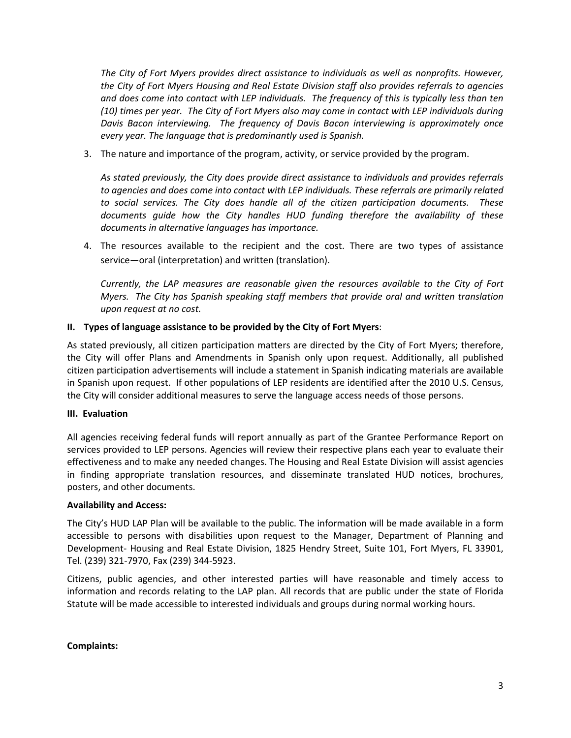The City of Fort Myers provides direct assistance to individuals as well as nonprofits. However, the City of Fort Myers Housing and Real Estate Division staff also provides referrals to agencies and does come into contact with LEP individuals. The frequency of this is typically less than ten (10) times per year. The City of Fort Myers also may come in contact with LEP individuals during Davis Bacon interviewing. The frequency of Davis Bacon interviewing is approximately once every year. The language that is predominantly used is Spanish.

3. The nature and importance of the program, activity, or service provided by the program.

As stated previously, the City does provide direct assistance to individuals and provides referrals to agencies and does come into contact with LEP individuals. These referrals are primarily related to social services. The City does handle all of the citizen participation documents. These documents guide how the City handles HUD funding therefore the availability of these documents in alternative languages has importance.

 4. The resources available to the recipient and the cost. There are two types of assistance service—oral (interpretation) and written (translation).

Currently, the LAP measures are reasonable given the resources available to the City of Fort Myers. The City has Spanish speaking staff members that provide oral and written translation *upon request at no cost.* 

#### **II. Types of language assistance to be provided by the City of Fort Myers**:

 As stated previously, all citizen participation matters are directed by the City of Fort Myers; therefore, the City will offer Plans and Amendments in Spanish only upon request. Additionally, all published citizen participation advertisements will include a statement in Spanish indicating materials are available in Spanish upon request. If other populations of LEP residents are identified after the 2010 U.S. Census, the City will consider additional measures to serve the language access needs of those persons.

#### **III. Evaluation**

All agencies receiving federal funds will report annually as part of the Grantee Performance Report on services provided to LEP persons. Agencies will review their respective plans each year to evaluate their effectiveness and to make any needed changes. The Housing and Real Estate Division will assist agencies in finding appropriate translation resources, and disseminate translated HUD notices, brochures, posters, and other documents.

#### **Availability and Access:**

 The City's HUD LAP Plan will be available to the public. The information will be made available in a form accessible to persons with disabilities upon request to the Manager, Department of Planning and Development- Housing and Real Estate Division, 1825 Hendry Street, Suite 101, Fort Myers, FL 33901, Tel. (239) 321-7970, Fax (239) 344-5923.

Citizens, public agencies, and other interested parties will have reasonable and timely access to information and records relating to the LAP plan. All records that are public under the state of Florida Statute will be made accessible to interested individuals and groups during normal working hours.

#### **Complaints:**